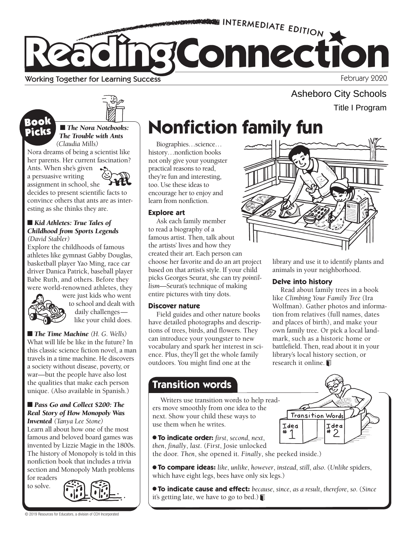

Working Together for Learning Success

February 2020

Title I Program

Asheboro City Schools

# Book

 *(Claudia Mills)* ■ *The Nora Notebooks: The Trouble with Ants* 

Nora dreams of being a scientist like her parents. Her current fascination?

Ants. When she's given  $\bullet$ a persuasive writing

assignment in school, she decides to present scientific facts to convince others that ants are as interesting as she thinks they are.

#### ■ *Kid Athletes: True Tales of Childhood from Sports Legends (David Stabler)*

Explore the childhoods of famous athletes like gymnast Gabby Douglas, basketball player Yao Ming, race car driver Danica Patrick, baseball player Babe Ruth, and others. Before they were world-renowned athletes, they



were just kids who went to school and dealt with daily challenges like your child does.

■ **The Time Machine** (*H. G. Wells*) What will life be like in the future? In this classic science fiction novel, a man travels in a time machine. He discovers a society without disease, poverty, or war—but the people have also lost the qualities that make each person unique. (Also available in Spanish.)

#### ■ *Pass Go and Collect \$200: The Real Story of How Monopoly Was Invented (Tanya Lee Stone)*

Learn all about how one of the most famous and beloved board games was invented by Lizzie Magie in the 1800s. The history of Monopoly is told in this nonfiction book that includes a trivia section and Monopoly Math problems

for readers to solve.



### **BOOK** I The Nora Notebooks: **Nonfiction family fun**

Biographies…science… history…nonfiction books not only give your youngster practical reasons to read, they're fun and interesting, too. Use these ideas to encourage her to enjoy and learn from nonfiction.

#### **Explore art**

Ask each family member to read a biography of a famous artist. Then, talk about the artists' lives and how they created their art. Each person can choose her favorite and do an art project based on that artist's style. If your child picks Georges Seurat, she can try *pointillism*—Seurat's technique of making entire pictures with tiny dots.

#### **Discover nature**

Field guides and other nature books have detailed photographs and descriptions of trees, birds, and flowers. They can introduce your youngster to new vocabulary and spark her interest in science. Plus, they'll get the whole family outdoors. You might find one at the



library and use it to identify plants and animals in your neighborhood.

#### **Delve into history**

Read about family trees in a book like *Climbing Your Family Tree* (Ira Wolfman). Gather photos and information from relatives (full names, dates and places of birth), and make your own family tree. Or pick a local landmark, such as a historic home or battlefield. Then, read about it in your library's local history section, or research it online.

Transition Words

Idea

#  $\mathcal{P}$ 

Idea

1

士

#### **Transition words**

Writers use transition words to help readers move smoothly from one idea to the next. Show your child these ways to use them when he writes.

● **To indicate order:** *first*, *second*, *next*, *then*, *finally*, *last*. (*First*, Josie unlocked the door. *Then*, she opened it. *Finally*, she peeked inside.)

● **To compare ideas:** *like*, *unlike*, *however*, *instead*, *still*, *also*. (*Unlike* spiders, which have eight legs, bees have only six legs.)

● **To indicate cause and effect:** *because*, *since*, *as a result*, *therefore*, *so*. (*Since*  it's getting late, we have to go to bed.)

© 2019 Resources for Educators, a division of CCH Incorporated